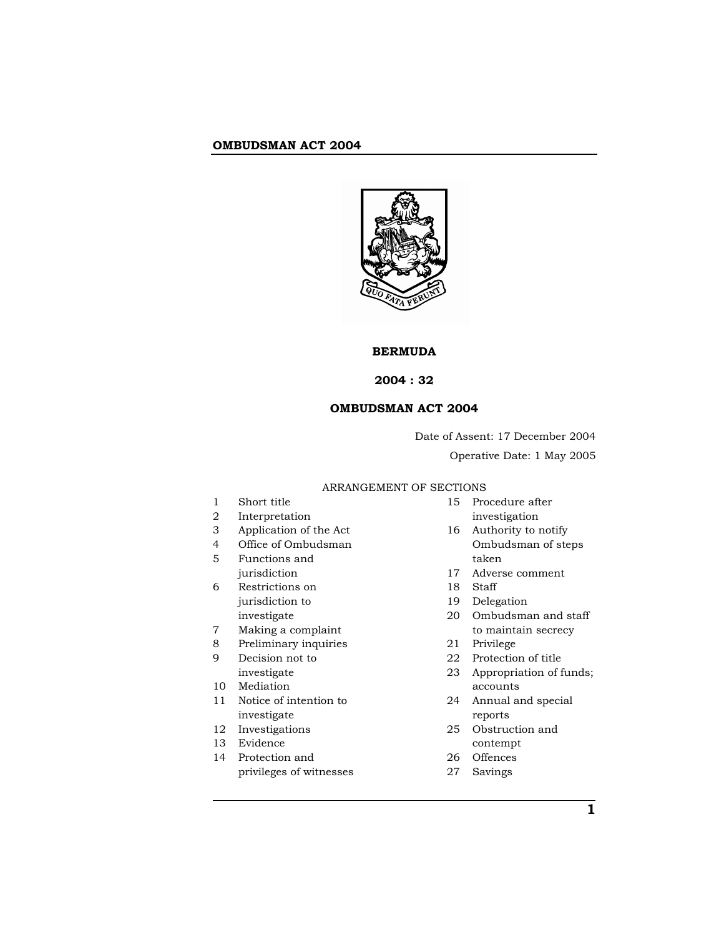

# **BERMUDA**

# **2004 : 32**

# **OMBUDSMAN ACT 2004**

Date of Assent: 17 December 2004 Operative Date: 1 May 2005

# ARRANGEMENT OF SECTIONS

| 1  | Short title             | 15 | Procedure after         |
|----|-------------------------|----|-------------------------|
| 2  | Interpretation          |    | investigation           |
| 3  | Application of the Act  | 16 | Authority to notify     |
| 4  | Office of Ombudsman     |    | Ombudsman of steps      |
| 5  | Functions and           |    | taken                   |
|    | jurisdiction            | 17 | Adverse comment         |
| 6  | Restrictions on         | 18 | Staff                   |
|    | jurisdiction to         | 19 | Delegation              |
|    | investigate             | 20 | Ombudsman and staff     |
| 7  | Making a complaint      |    | to maintain secrecy     |
| 8  | Preliminary inquiries   | 21 | Privilege               |
| 9  | Decision not to         | 22 | Protection of title     |
|    | investigate             | 23 | Appropriation of funds; |
| 10 | Mediation               |    | accounts                |
| 11 | Notice of intention to  | 24 | Annual and special      |
|    | investigate             |    | reports                 |
| 12 | Investigations          | 25 | Obstruction and         |
| 13 | Evidence                |    | contempt                |
| 14 | Protection and          | 26 | Offences                |
|    | privileges of witnesses | 27 | Savings                 |
|    |                         |    |                         |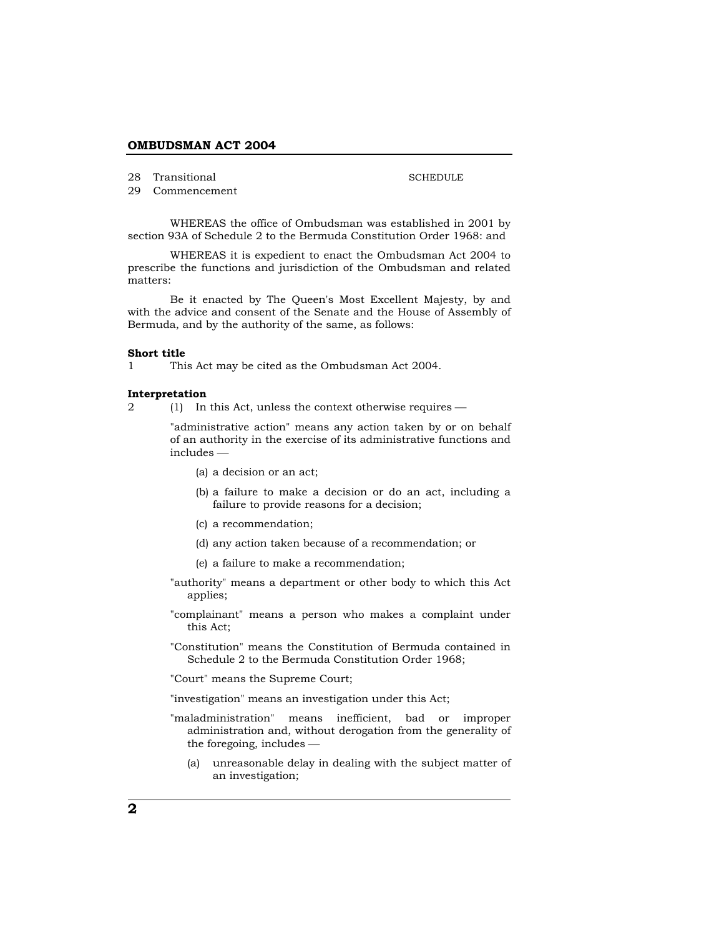28 Transitional

SCHEDULE

29 Commencement

WHEREAS the office of Ombudsman was established in 2001 by section 93A of Schedule 2 to the Bermuda Constitution Order 1968: and

WHEREAS it is expedient to enact the Ombudsman Act 2004 to prescribe the functions and jurisdiction of the Ombudsman and related matters:

Be it enacted by The Queen's Most Excellent Majesty, by and with the advice and consent of the Senate and the House of Assembly of Bermuda, and by the authority of the same, as follows:

#### **Short title**

1 This Act may be cited as the Ombudsman Act 2004.

#### **Interpretation**

2 (1) In this Act, unless the context otherwise requires —

"administrative action" means any action taken by or on behalf of an authority in the exercise of its administrative functions and  $in$ cludes  $-$ 

- (a) a decision or an act;
- (b) a failure to make a decision or do an act, including a failure to provide reasons for a decision;
- (c) a recommendation;
- (d) any action taken because of a recommendation; or
- (e) a failure to make a recommendation;
- "authority" means a department or other body to which this Act applies;
- "complainant" means a person who makes a complaint under this Act;

"Constitution" means the Constitution of Bermuda contained in Schedule 2 to the Bermuda Constitution Order 1968;

"Court" means the Supreme Court;

"investigation" means an investigation under this Act;

- "maladministration" means inefficient, bad or improper administration and, without derogation from the generality of the foregoing, includes  $-$ 
	- (a) unreasonable delay in dealing with the subject matter of an investigation;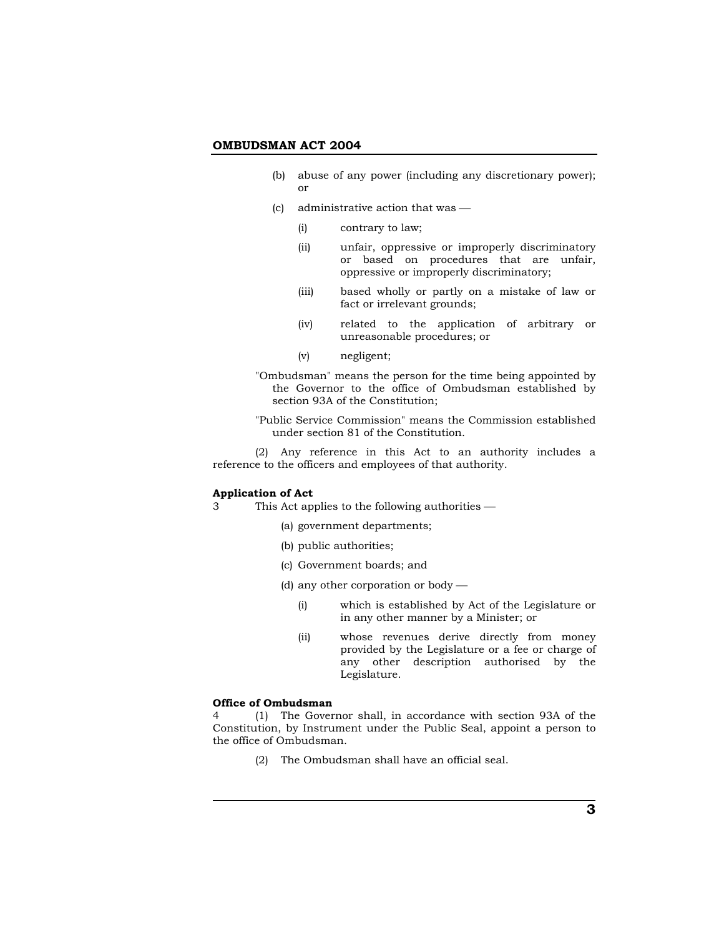- (b) abuse of any power (including any discretionary power); or
- (c) administrative action that was  $-$ 
	- (i) contrary to law;
	- (ii) unfair, oppressive or improperly discriminatory or based on procedures that are unfair, oppressive or improperly discriminatory;
	- (iii) based wholly or partly on a mistake of law or fact or irrelevant grounds;
	- (iv) related to the application of arbitrary or unreasonable procedures; or
	- (v) negligent;

"Ombudsman" means the person for the time being appointed by the Governor to the office of Ombudsman established by section 93A of the Constitution;

"Public Service Commission" means the Commission established under section 81 of the Constitution.

 (2) Any reference in this Act to an authority includes a reference to the officers and employees of that authority.

#### **Application of Act**

- 3 This Act applies to the following authorities
	- (a) government departments;
	- (b) public authorities;
	- (c) Government boards; and
	- (d) any other corporation or body  $-$ 
		- (i) which is established by Act of the Legislature or in any other manner by a Minister; or
		- (ii) whose revenues derive directly from money provided by the Legislature or a fee or charge of any other description authorised by the Legislature.

#### **Office of Ombudsman**

4 (1) The Governor shall, in accordance with section 93A of the Constitution, by Instrument under the Public Seal, appoint a person to the office of Ombudsman.

(2) The Ombudsman shall have an official seal.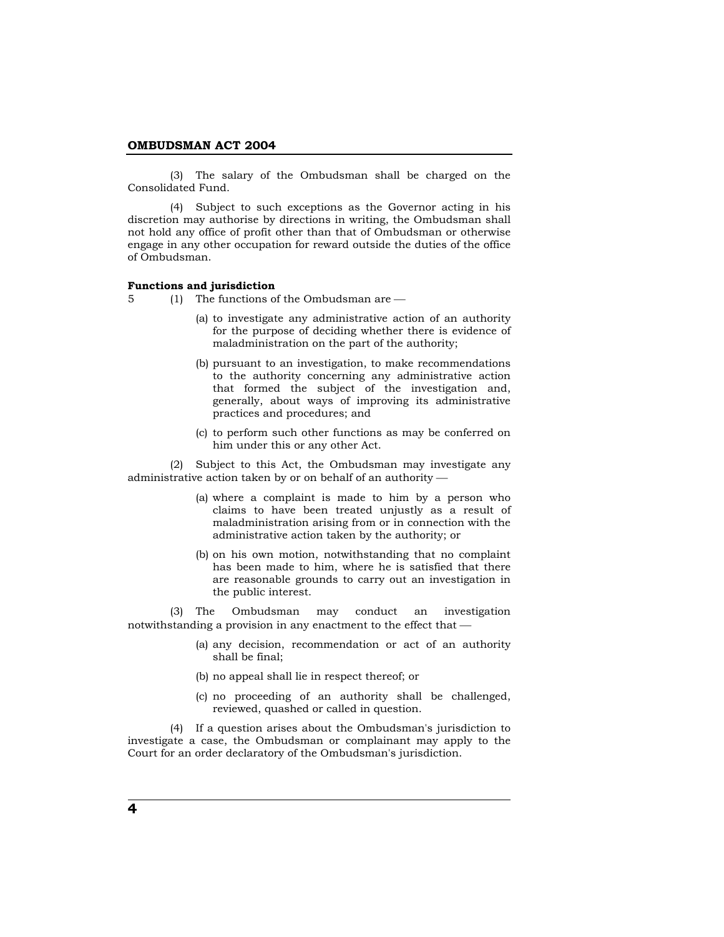(3) The salary of the Ombudsman shall be charged on the Consolidated Fund.

 (4) Subject to such exceptions as the Governor acting in his discretion may authorise by directions in writing, the Ombudsman shall not hold any office of profit other than that of Ombudsman or otherwise engage in any other occupation for reward outside the duties of the office of Ombudsman.

# **Functions and jurisdiction**

 $5$  (1) The functions of the Ombudsman are  $-$ 

- (a) to investigate any administrative action of an authority for the purpose of deciding whether there is evidence of maladministration on the part of the authority;
- (b) pursuant to an investigation, to make recommendations to the authority concerning any administrative action that formed the subject of the investigation and, generally, about ways of improving its administrative practices and procedures; and
- (c) to perform such other functions as may be conferred on him under this or any other Act.

 (2) Subject to this Act, the Ombudsman may investigate any administrative action taken by or on behalf of an authority  $-$ 

- (a) where a complaint is made to him by a person who claims to have been treated unjustly as a result of maladministration arising from or in connection with the administrative action taken by the authority; or
- (b) on his own motion, notwithstanding that no complaint has been made to him, where he is satisfied that there are reasonable grounds to carry out an investigation in the public interest.

 (3) The Ombudsman may conduct an investigation notwithstanding a provision in any enactment to the effect that  $-$ 

- (a) any decision, recommendation or act of an authority shall be final;
- (b) no appeal shall lie in respect thereof; or
- (c) no proceeding of an authority shall be challenged, reviewed, quashed or called in question.

 (4) If a question arises about the Ombudsman's jurisdiction to investigate a case, the Ombudsman or complainant may apply to the Court for an order declaratory of the Ombudsman's jurisdiction.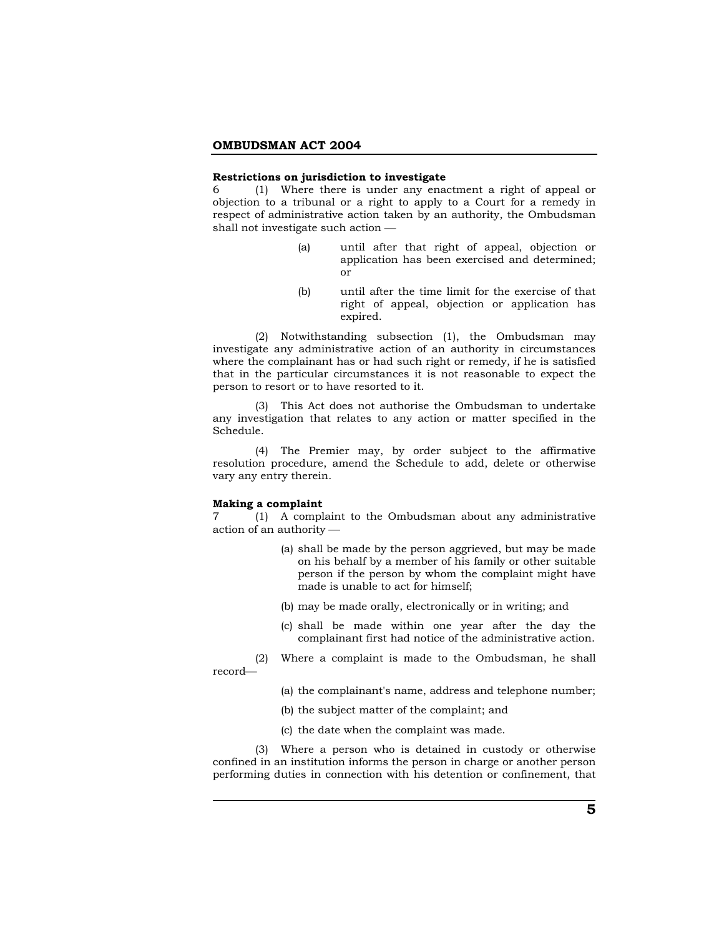### **Restrictions on jurisdiction to investigate**

6 (1) Where there is under any enactment a right of appeal or objection to a tribunal or a right to apply to a Court for a remedy in respect of administrative action taken by an authority, the Ombudsman shall not investigate such action  $-$ 

- (a) until after that right of appeal, objection or application has been exercised and determined; or
- (b) until after the time limit for the exercise of that right of appeal, objection or application has expired.

 (2) Notwithstanding subsection (1), the Ombudsman may investigate any administrative action of an authority in circumstances where the complainant has or had such right or remedy, if he is satisfied that in the particular circumstances it is not reasonable to expect the person to resort or to have resorted to it.

 (3) This Act does not authorise the Ombudsman to undertake any investigation that relates to any action or matter specified in the Schedule.

 (4) The Premier may, by order subject to the affirmative resolution procedure, amend the Schedule to add, delete or otherwise vary any entry therein.

## **Making a complaint**

record-

7 (1) A complaint to the Ombudsman about any administrative action of an authority  $-$ 

- (a) shall be made by the person aggrieved, but may be made on his behalf by a member of his family or other suitable person if the person by whom the complaint might have made is unable to act for himself;
- (b) may be made orally, electronically or in writing; and
- (c) shall be made within one year after the day the complainant first had notice of the administrative action.
- (2) Where a complaint is made to the Ombudsman, he shall
	- (a) the complainant's name, address and telephone number;
	- (b) the subject matter of the complaint; and
	- (c) the date when the complaint was made.

 (3) Where a person who is detained in custody or otherwise confined in an institution informs the person in charge or another person performing duties in connection with his detention or confinement, that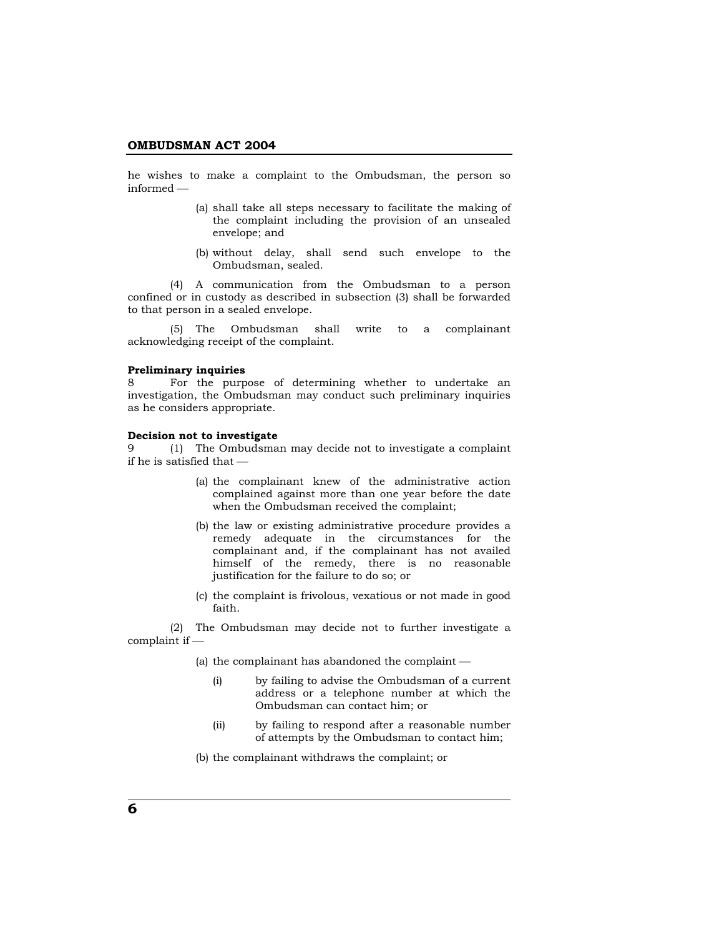he wishes to make a complaint to the Ombudsman, the person so  $informed -$ 

- (a) shall take all steps necessary to facilitate the making of the complaint including the provision of an unsealed envelope; and
- (b) without delay, shall send such envelope to the Ombudsman, sealed.

 (4) A communication from the Ombudsman to a person confined or in custody as described in subsection (3) shall be forwarded to that person in a sealed envelope.

 (5) The Ombudsman shall write to a complainant acknowledging receipt of the complaint.

# **Preliminary inquiries**

8 For the purpose of determining whether to undertake an investigation, the Ombudsman may conduct such preliminary inquiries as he considers appropriate.

## **Decision not to investigate**

9 (1) The Ombudsman may decide not to investigate a complaint if he is satisfied that  $-$ 

- (a) the complainant knew of the administrative action complained against more than one year before the date when the Ombudsman received the complaint;
- (b) the law or existing administrative procedure provides a remedy adequate in the circumstances for the complainant and, if the complainant has not availed himself of the remedy, there is no reasonable justification for the failure to do so; or
- (c) the complaint is frivolous, vexatious or not made in good faith.

 (2) The Ombudsman may decide not to further investigate a  $complain$  if  $-$ 

(a) the complainant has abandoned the complaint  $-$ 

- (i) by failing to advise the Ombudsman of a current address or a telephone number at which the Ombudsman can contact him; or
- (ii) by failing to respond after a reasonable number of attempts by the Ombudsman to contact him;
- (b) the complainant withdraws the complaint; or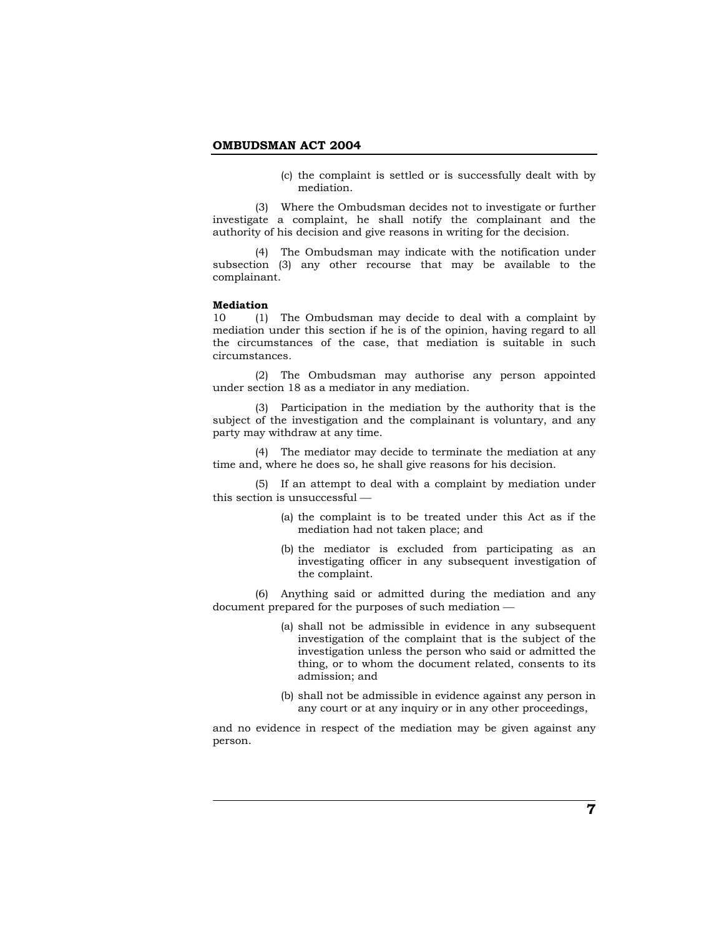(c) the complaint is settled or is successfully dealt with by mediation.

 (3) Where the Ombudsman decides not to investigate or further investigate a complaint, he shall notify the complainant and the authority of his decision and give reasons in writing for the decision.

 (4) The Ombudsman may indicate with the notification under subsection (3) any other recourse that may be available to the complainant.

#### **Mediation**

10 (1) The Ombudsman may decide to deal with a complaint by mediation under this section if he is of the opinion, having regard to all the circumstances of the case, that mediation is suitable in such circumstances*.*

 (2) The Ombudsman may authorise any person appointed under section 18 as a mediator in any mediation.

 (3) Participation in the mediation by the authority that is the subject of the investigation and the complainant is voluntary, and any party may withdraw at any time.

 (4) The mediator may decide to terminate the mediation at any time and, where he does so, he shall give reasons for his decision.

 (5) If an attempt to deal with a complaint by mediation under this section is unsuccessful  $-$ 

- (a) the complaint is to be treated under this Act as if the mediation had not taken place; and
- (b) the mediator is excluded from participating as an investigating officer in any subsequent investigation of the complaint.

 (6) Anything said or admitted during the mediation and any document prepared for the purposes of such mediation  $-$ 

- (a) shall not be admissible in evidence in any subsequent investigation of the complaint that is the subject of the investigation unless the person who said or admitted the thing, or to whom the document related, consents to its admission; and
- (b) shall not be admissible in evidence against any person in any court or at any inquiry or in any other proceedings,

and no evidence in respect of the mediation may be given against any person.

**7**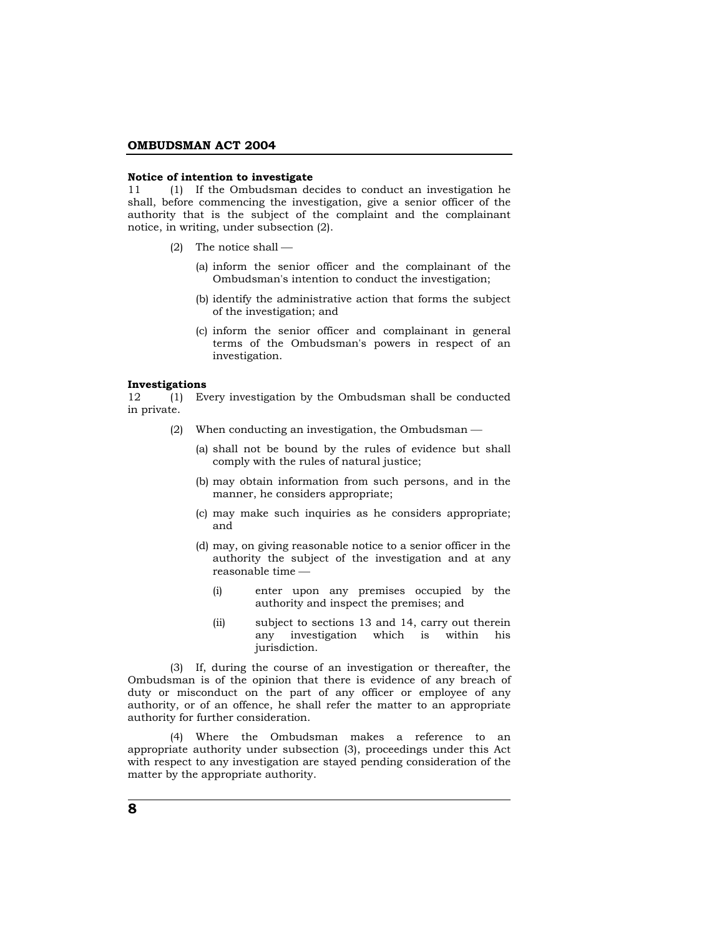#### **Notice of intention to investigate**

11 (1) If the Ombudsman decides to conduct an investigation he shall, before commencing the investigation, give a senior officer of the authority that is the subject of the complaint and the complainant notice, in writing, under subsection (2).

- (2) The notice shall  $-$ 
	- (a) inform the senior officer and the complainant of the Ombudsman's intention to conduct the investigation;
	- (b) identify the administrative action that forms the subject of the investigation; and
	- (c) inform the senior officer and complainant in general terms of the Ombudsman's powers in respect of an investigation.

#### **Investigations**

12 (1) Every investigation by the Ombudsman shall be conducted in private.

- (2) When conducting an investigation, the Ombudsman  $-$ 
	- (a) shall not be bound by the rules of evidence but shall comply with the rules of natural justice;
	- (b) may obtain information from such persons, and in the manner, he considers appropriate;
	- (c) may make such inquiries as he considers appropriate; and
	- (d) may, on giving reasonable notice to a senior officer in the authority the subject of the investigation and at any reasonable time  $-$ 
		- (i) enter upon any premises occupied by the authority and inspect the premises; and
		- (ii) subject to sections 13 and 14, carry out therein any investigation which is within his jurisdiction.

 (3) If, during the course of an investigation or thereafter, the Ombudsman is of the opinion that there is evidence of any breach of duty or misconduct on the part of any officer or employee of any authority, or of an offence, he shall refer the matter to an appropriate authority for further consideration.

 (4) Where the Ombudsman makes a reference to an appropriate authority under subsection (3), proceedings under this Act with respect to any investigation are stayed pending consideration of the matter by the appropriate authority.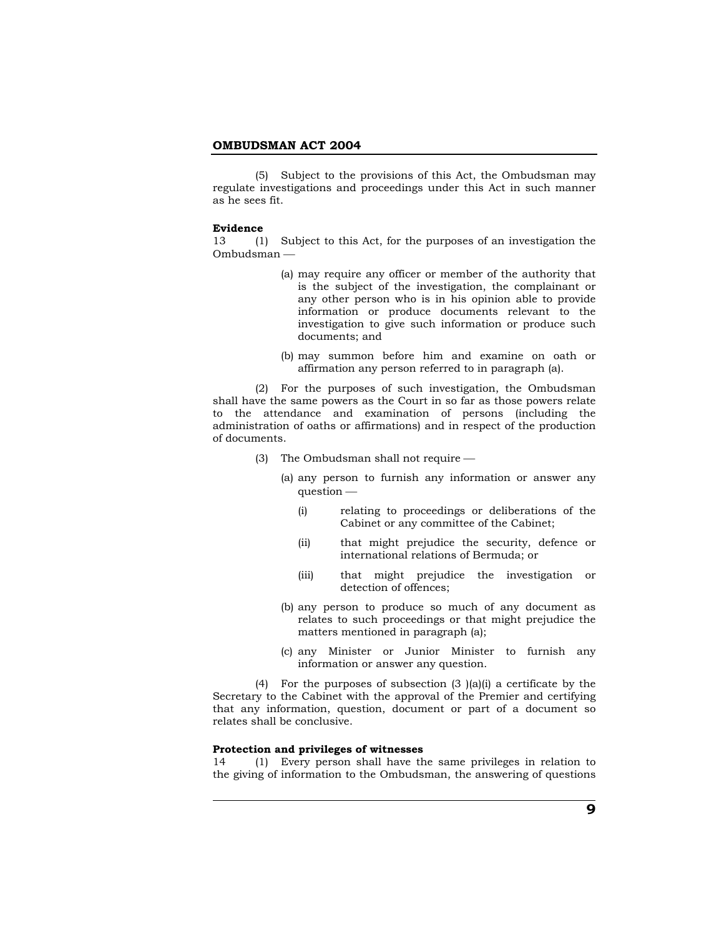(5) Subject to the provisions of this Act, the Ombudsman may regulate investigations and proceedings under this Act in such manner as he sees fit.

#### **Evidence**

13 (1) Subject to this Act, for the purposes of an investigation the Ombudsman —

- (a) may require any officer or member of the authority that is the subject of the investigation, the complainant or any other person who is in his opinion able to provide information or produce documents relevant to the investigation to give such information or produce such documents; and
- (b) may summon before him and examine on oath or affirmation any person referred to in paragraph (a).

 (2) For the purposes of such investigation, the Ombudsman shall have the same powers as the Court in so far as those powers relate to the attendance and examination of persons (including the administration of oaths or affirmations) and in respect of the production of documents.

- (3) The Ombudsman shall not require  $-$ 
	- (a) any person to furnish any information or answer any  $question$  —
		- (i) relating to proceedings or deliberations of the Cabinet or any committee of the Cabinet;
		- (ii) that might prejudice the security, defence or international relations of Bermuda; or
		- (iii) that might prejudice the investigation or detection of offences;
	- (b) any person to produce so much of any document as relates to such proceedings or that might prejudice the matters mentioned in paragraph (a);
	- (c) any Minister or Junior Minister to furnish any information or answer any question.

 (4) For the purposes of subsection (3 )(a)(i) a certificate by the Secretary to the Cabinet with the approval of the Premier and certifying that any information, question, document or part of a document so relates shall be conclusive.

# **Protection and privileges of witnesses**

14 (1) Every person shall have the same privileges in relation to the giving of information to the Ombudsman, the answering of questions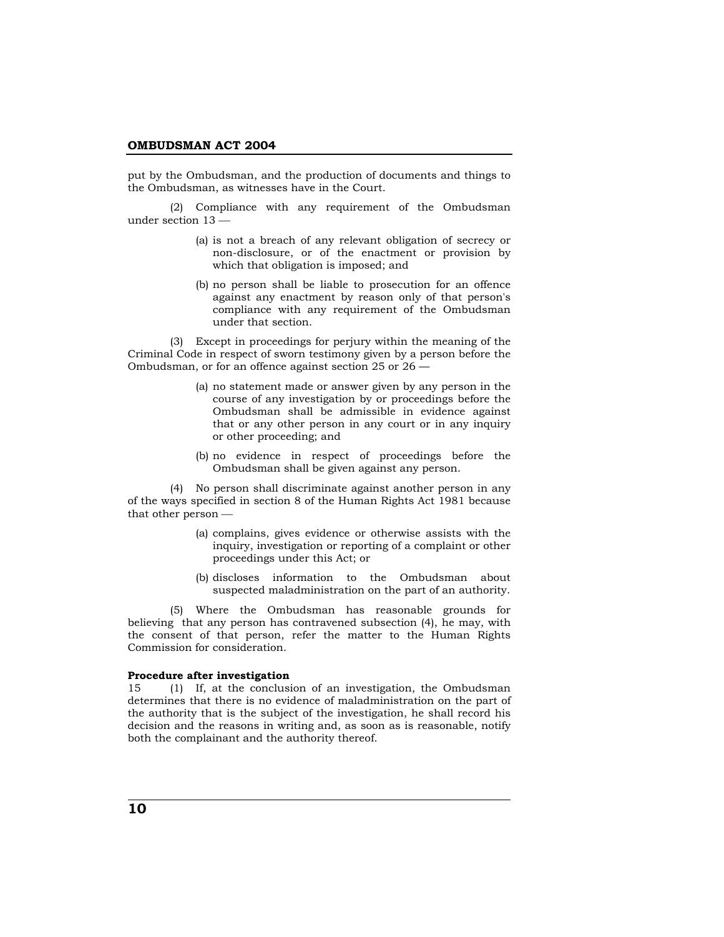put by the Ombudsman, and the production of documents and things to the Ombudsman, as witnesses have in the Court.

 (2) Compliance with any requirement of the Ombudsman under section  $13 -$ 

- (a) is not a breach of any relevant obligation of secrecy or non-disclosure, or of the enactment or provision by which that obligation is imposed; and
- (b) no person shall be liable to prosecution for an offence against any enactment by reason only of that person's compliance with any requirement of the Ombudsman under that section.

 (3) Except in proceedings for perjury within the meaning of the Criminal Code in respect of sworn testimony given by a person before the Ombudsman, or for an offence against section 25 or 26 —

- (a) no statement made or answer given by any person in the course of any investigation by or proceedings before the Ombudsman shall be admissible in evidence against that or any other person in any court or in any inquiry or other proceeding; and
- (b) no evidence in respect of proceedings before the Ombudsman shall be given against any person.

 (4) No person shall discriminate against another person in any of the ways specified in section 8 of the Human Rights Act 1981 because that other person —

- (a) complains, gives evidence or otherwise assists with the inquiry, investigation or reporting of a complaint or other proceedings under this Act; or
- (b) discloses information to the Ombudsman about suspected maladministration on the part of an authority.

 (5) Where the Ombudsman has reasonable grounds for believing that any person has contravened subsection (4), he may, with the consent of that person, refer the matter to the Human Rights Commission for consideration.

## **Procedure after investigation**

15 (1) If, at the conclusion of an investigation, the Ombudsman determines that there is no evidence of maladministration on the part of the authority that is the subject of the investigation, he shall record his decision and the reasons in writing and, as soon as is reasonable, notify both the complainant and the authority thereof.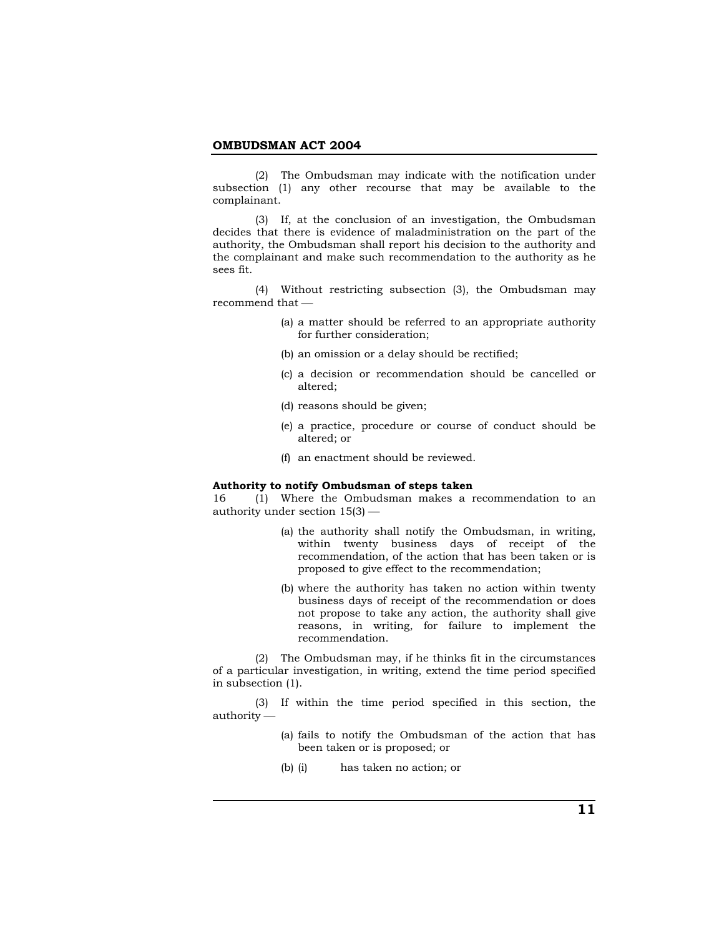(2) The Ombudsman may indicate with the notification under subsection (1) any other recourse that may be available to the complainant.

 (3) If, at the conclusion of an investigation, the Ombudsman decides that there is evidence of maladministration on the part of the authority, the Ombudsman shall report his decision to the authority and the complainant and make such recommendation to the authority as he sees fit.

 (4) Without restricting subsection (3), the Ombudsman may recommend that  $-$ 

- (a) a matter should be referred to an appropriate authority for further consideration;
- (b) an omission or a delay should be rectified;
- (c) a decision or recommendation should be cancelled or altered;
- (d) reasons should be given;
- (e) a practice, procedure or course of conduct should be altered; or
- (f) an enactment should be reviewed.

#### **Authority to notify Ombudsman of steps taken**

16 (1) Where the Ombudsman makes a recommendation to an authority under section  $15(3)$  —

- (a) the authority shall notify the Ombudsman, in writing, within twenty business days of receipt of the recommendation, of the action that has been taken or is proposed to give effect to the recommendation;
- (b) where the authority has taken no action within twenty business days of receipt of the recommendation or does not propose to take any action, the authority shall give reasons, in writing, for failure to implement the recommendation.

 (2) The Ombudsman may, if he thinks fit in the circumstances of a particular investigation, in writing, extend the time period specified in subsection (1).

 (3) If within the time period specified in this section, the  $a$ uthority  $-$ 

- (a) fails to notify the Ombudsman of the action that has been taken or is proposed; or
- (b) (i) has taken no action; or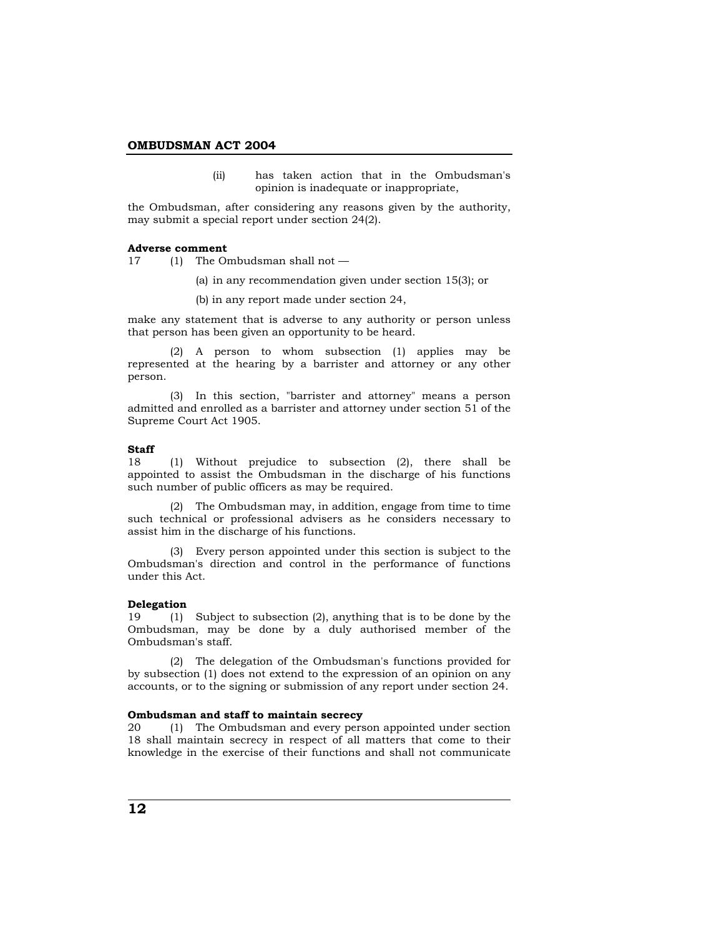(ii) has taken action that in the Ombudsman's opinion is inadequate or inappropriate,

the Ombudsman, after considering any reasons given by the authority, may submit a special report under section 24(2).

#### **Adverse comment**

17 (1) The Ombudsman shall not —

- (a) in any recommendation given under section 15(3); or
- (b) in any report made under section 24,

make any statement that is adverse to any authority or person unless that person has been given an opportunity to be heard.

 (2) A person to whom subsection (1) applies may be represented at the hearing by a barrister and attorney or any other person.

 (3) In this section, "barrister and attorney" means a person admitted and enrolled as a barrister and attorney under section 51 of the Supreme Court Act 1905.

#### **Staff**

18 (1) Without prejudice to subsection (2), there shall be appointed to assist the Ombudsman in the discharge of his functions such number of public officers as may be required.

 (2) The Ombudsman may, in addition, engage from time to time such technical or professional advisers as he considers necessary to assist him in the discharge of his functions.

 (3) Every person appointed under this section is subject to the Ombudsman's direction and control in the performance of functions under this Act.

## **Delegation**

19 (1) Subject to subsection (2), anything that is to be done by the Ombudsman, may be done by a duly authorised member of the Ombudsman's staff.

 (2) The delegation of the Ombudsman's functions provided for by subsection (1) does not extend to the expression of an opinion on any accounts, or to the signing or submission of any report under section 24.

### **Ombudsman and staff to maintain secrecy**

20 (1) The Ombudsman and every person appointed under section 18 shall maintain secrecy in respect of all matters that come to their knowledge in the exercise of their functions and shall not communicate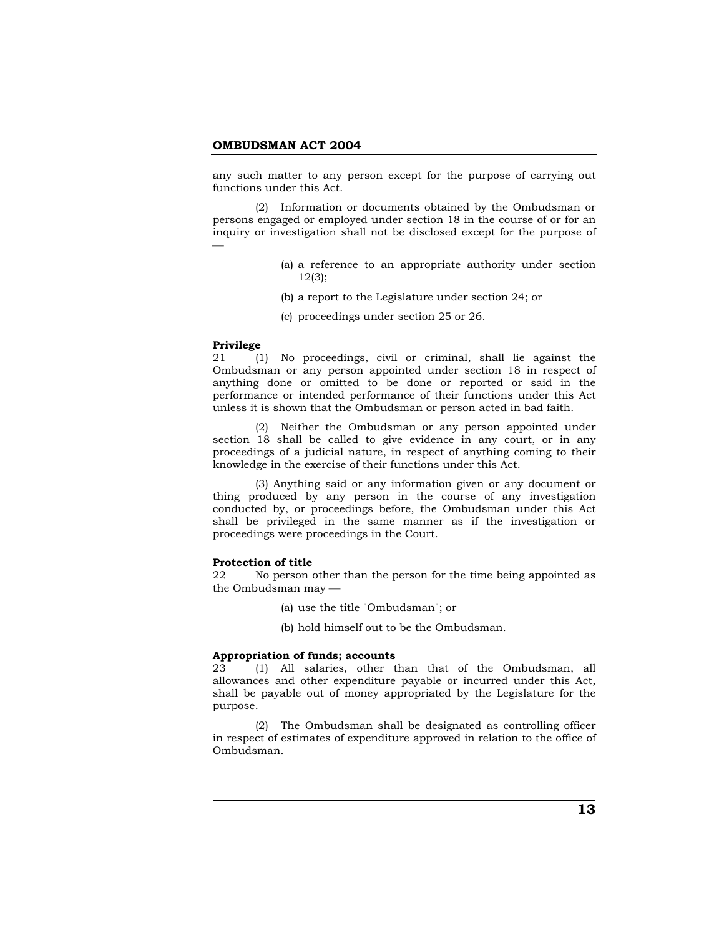any such matter to any person except for the purpose of carrying out functions under this Act.

 (2) Information or documents obtained by the Ombudsman or persons engaged or employed under section 18 in the course of or for an inquiry or investigation shall not be disclosed except for the purpose of ⎯

- (a) a reference to an appropriate authority under section 12(3);
- (b) a report to the Legislature under section 24; or
- (c) proceedings under section 25 or 26.

#### **Privilege**

21 (1) No proceedings, civil or criminal, shall lie against the Ombudsman or any person appointed under section 18 in respect of anything done or omitted to be done or reported or said in the performance or intended performance of their functions under this Act unless it is shown that the Ombudsman or person acted in bad faith.

 (2) Neither the Ombudsman or any person appointed under section 18 shall be called to give evidence in any court, or in any proceedings of a judicial nature, in respect of anything coming to their knowledge in the exercise of their functions under this Act.

 (3) Anything said or any information given or any document or thing produced by any person in the course of any investigation conducted by, or proceedings before, the Ombudsman under this Act shall be privileged in the same manner as if the investigation or proceedings were proceedings in the Court.

#### **Protection of title**

22 No person other than the person for the time being appointed as the Ombudsman may  $-$ 

- (a) use the title "Ombudsman"; or
- (b) hold himself out to be the Ombudsman.

#### **Appropriation of funds; accounts**

23 (1) All salaries, other than that of the Ombudsman, all allowances and other expenditure payable or incurred under this Act, shall be payable out of money appropriated by the Legislature for the purpose.

 (2) The Ombudsman shall be designated as controlling officer in respect of estimates of expenditure approved in relation to the office of Ombudsman.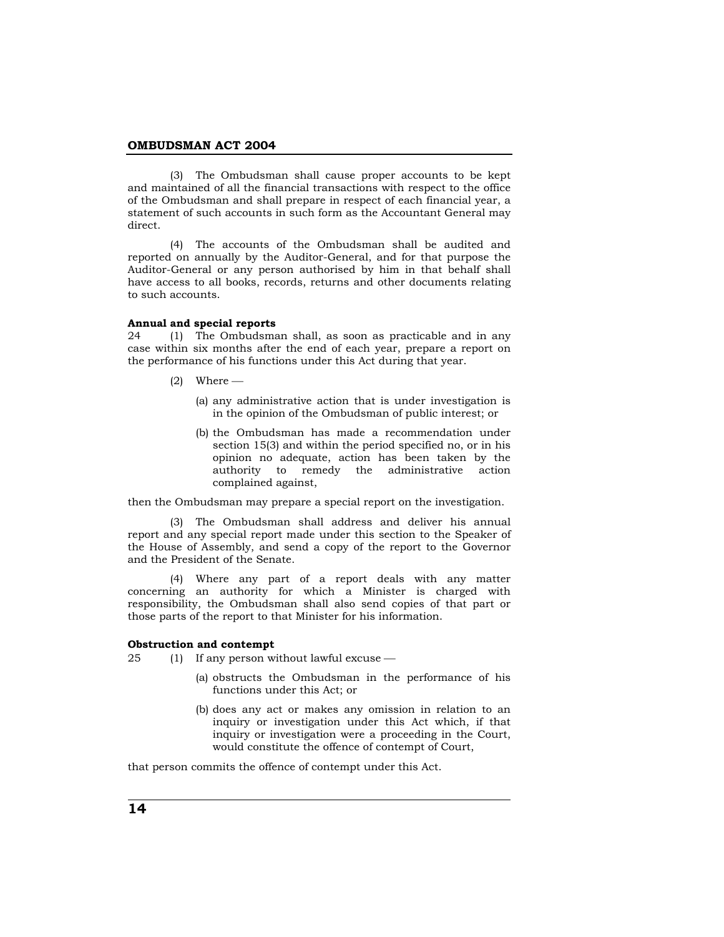(3) The Ombudsman shall cause proper accounts to be kept and maintained of all the financial transactions with respect to the office of the Ombudsman and shall prepare in respect of each financial year, a statement of such accounts in such form as the Accountant General may direct.

 (4) The accounts of the Ombudsman shall be audited and reported on annually by the Auditor-General, and for that purpose the Auditor-General or any person authorised by him in that behalf shall have access to all books, records, returns and other documents relating to such accounts.

## **Annual and special reports**

24 (1) The Ombudsman shall, as soon as practicable and in any case within six months after the end of each year, prepare a report on the performance of his functions under this Act during that year.

- $(2)$  Where
	- (a) any administrative action that is under investigation is in the opinion of the Ombudsman of public interest; or
	- (b) the Ombudsman has made a recommendation under section 15(3) and within the period specified no, or in his opinion no adequate, action has been taken by the authority to remedy the administrative action complained against,

then the Ombudsman may prepare a special report on the investigation.

 (3) The Ombudsman shall address and deliver his annual report and any special report made under this section to the Speaker of the House of Assembly, and send a copy of the report to the Governor and the President of the Senate.

 (4) Where any part of a report deals with any matter concerning an authority for which a Minister is charged with responsibility, the Ombudsman shall also send copies of that part or those parts of the report to that Minister for his information.

#### **Obstruction and contempt**

 $25$  (1) If any person without lawful excuse  $-$ 

- (a) obstructs the Ombudsman in the performance of his functions under this Act; or
- (b) does any act or makes any omission in relation to an inquiry or investigation under this Act which, if that inquiry or investigation were a proceeding in the Court, would constitute the offence of contempt of Court,

that person commits the offence of contempt under this Act.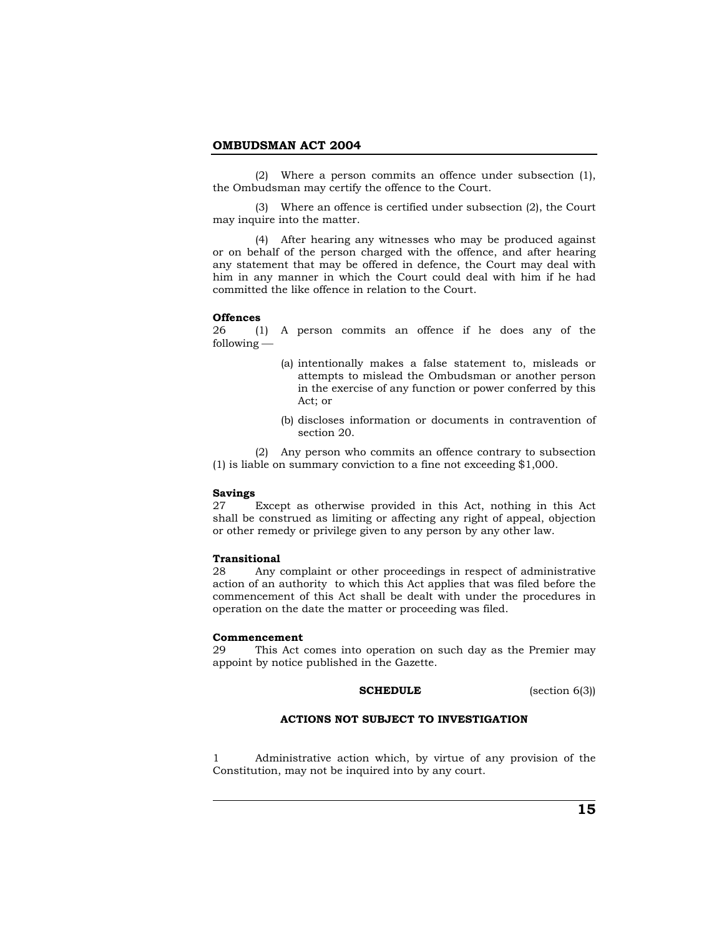(2) Where a person commits an offence under subsection (1), the Ombudsman may certify the offence to the Court.

 (3) Where an offence is certified under subsection (2), the Court may inquire into the matter.

 (4) After hearing any witnesses who may be produced against or on behalf of the person charged with the offence, and after hearing any statement that may be offered in defence, the Court may deal with him in any manner in which the Court could deal with him if he had committed the like offence in relation to the Court.

## **Offences**

26 (1) A person commits an offence if he does any of the  $f$ ollowing  $-$ 

- (a) intentionally makes a false statement to, misleads or attempts to mislead the Ombudsman or another person in the exercise of any function or power conferred by this Act; or
- (b) discloses information or documents in contravention of section 20.

 (2) Any person who commits an offence contrary to subsection (1) is liable on summary conviction to a fine not exceeding \$1,000.

#### **Savings**

27 Except as otherwise provided in this Act, nothing in this Act shall be construed as limiting or affecting any right of appeal, objection or other remedy or privilege given to any person by any other law.

#### **Transitional**

28 Any complaint or other proceedings in respect of administrative action of an authority to which this Act applies that was filed before the commencement of this Act shall be dealt with under the procedures in operation on the date the matter or proceeding was filed.

#### **Commencement**

29 This Act comes into operation on such day as the Premier may appoint by notice published in the Gazette.

#### **SCHEDULE** (section 6(3))

# **ACTIONS NOT SUBJECT TO INVESTIGATION**

1 Administrative action which, by virtue of any provision of the Constitution, may not be inquired into by any court.